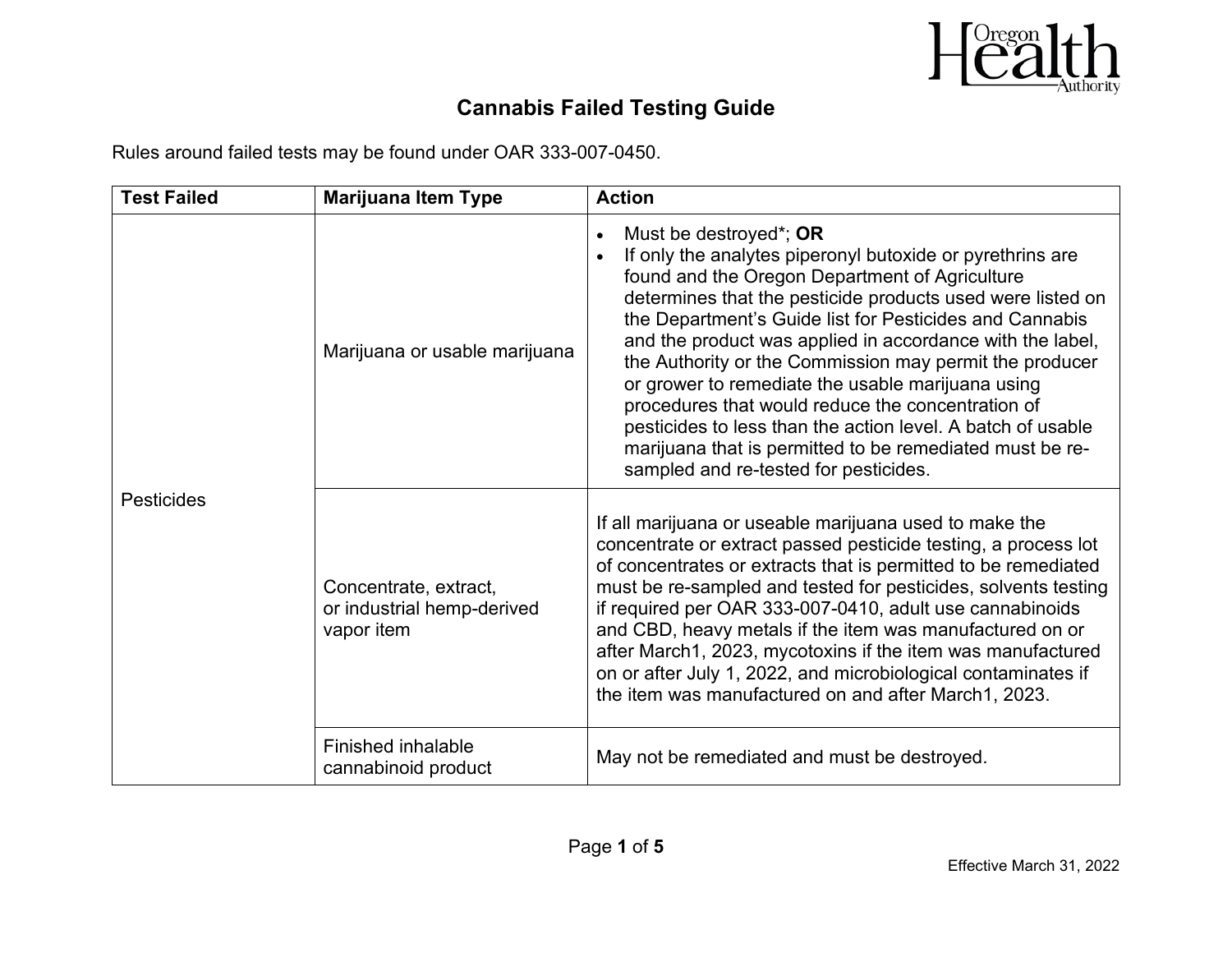

Rules around failed tests may be found under OAR 333-007-0450.

| <b>Test Failed</b> | <b>Marijuana Item Type</b>                                        | <b>Action</b>                                                                                                                                                                                                                                                                                                                                                                                                                                                                                                                                                                                                                                                        |
|--------------------|-------------------------------------------------------------------|----------------------------------------------------------------------------------------------------------------------------------------------------------------------------------------------------------------------------------------------------------------------------------------------------------------------------------------------------------------------------------------------------------------------------------------------------------------------------------------------------------------------------------------------------------------------------------------------------------------------------------------------------------------------|
| <b>Pesticides</b>  | Marijuana or usable marijuana                                     | Must be destroyed*; OR<br>If only the analytes piperonyl butoxide or pyrethrins are<br>found and the Oregon Department of Agriculture<br>determines that the pesticide products used were listed on<br>the Department's Guide list for Pesticides and Cannabis<br>and the product was applied in accordance with the label,<br>the Authority or the Commission may permit the producer<br>or grower to remediate the usable marijuana using<br>procedures that would reduce the concentration of<br>pesticides to less than the action level. A batch of usable<br>marijuana that is permitted to be remediated must be re-<br>sampled and re-tested for pesticides. |
|                    | Concentrate, extract,<br>or industrial hemp-derived<br>vapor item | If all marijuana or useable marijuana used to make the<br>concentrate or extract passed pesticide testing, a process lot<br>of concentrates or extracts that is permitted to be remediated<br>must be re-sampled and tested for pesticides, solvents testing<br>if required per OAR 333-007-0410, adult use cannabinoids<br>and CBD, heavy metals if the item was manufactured on or<br>after March1, 2023, mycotoxins if the item was manufactured<br>on or after July 1, 2022, and microbiological contaminates if<br>the item was manufactured on and after March1, 2023.                                                                                         |
|                    | Finished inhalable<br>cannabinoid product                         | May not be remediated and must be destroyed.                                                                                                                                                                                                                                                                                                                                                                                                                                                                                                                                                                                                                         |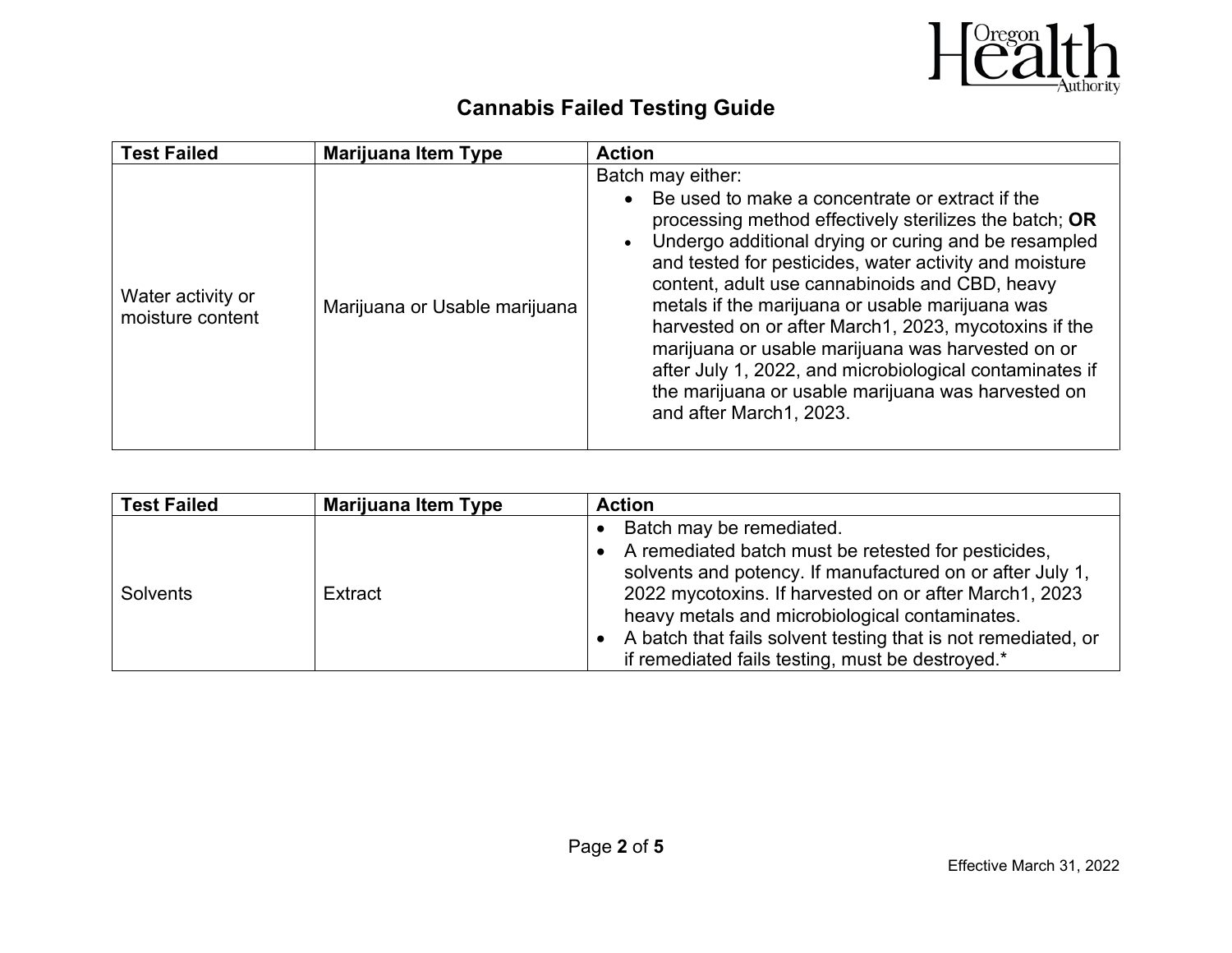

| <b>Test Failed</b><br><b>Marijuana Item Type</b>                       | <b>Action</b>                                                                                                                                                                                                                                                                                                                                                                                                                                                                                                                                                                                                                |
|------------------------------------------------------------------------|------------------------------------------------------------------------------------------------------------------------------------------------------------------------------------------------------------------------------------------------------------------------------------------------------------------------------------------------------------------------------------------------------------------------------------------------------------------------------------------------------------------------------------------------------------------------------------------------------------------------------|
| Water activity or<br>Marijuana or Usable marijuana<br>moisture content | Batch may either:<br>Be used to make a concentrate or extract if the<br>$\bullet$<br>processing method effectively sterilizes the batch; OR<br>Undergo additional drying or curing and be resampled<br>and tested for pesticides, water activity and moisture<br>content, adult use cannabinoids and CBD, heavy<br>metals if the marijuana or usable marijuana was<br>harvested on or after March1, 2023, mycotoxins if the<br>marijuana or usable marijuana was harvested on or<br>after July 1, 2022, and microbiological contaminates if<br>the marijuana or usable marijuana was harvested on<br>and after March1, 2023. |

| <b>Test Failed</b> | <b>Marijuana Item Type</b> | <b>Action</b>                                                                                                                                                                                                                                                                                                                                       |
|--------------------|----------------------------|-----------------------------------------------------------------------------------------------------------------------------------------------------------------------------------------------------------------------------------------------------------------------------------------------------------------------------------------------------|
|                    |                            | Batch may be remediated.                                                                                                                                                                                                                                                                                                                            |
| <b>Solvents</b>    | Extract                    | A remediated batch must be retested for pesticides,<br>solvents and potency. If manufactured on or after July 1,<br>2022 mycotoxins. If harvested on or after March1, 2023<br>heavy metals and microbiological contaminates.<br>• A batch that fails solvent testing that is not remediated, or<br>if remediated fails testing, must be destroyed.* |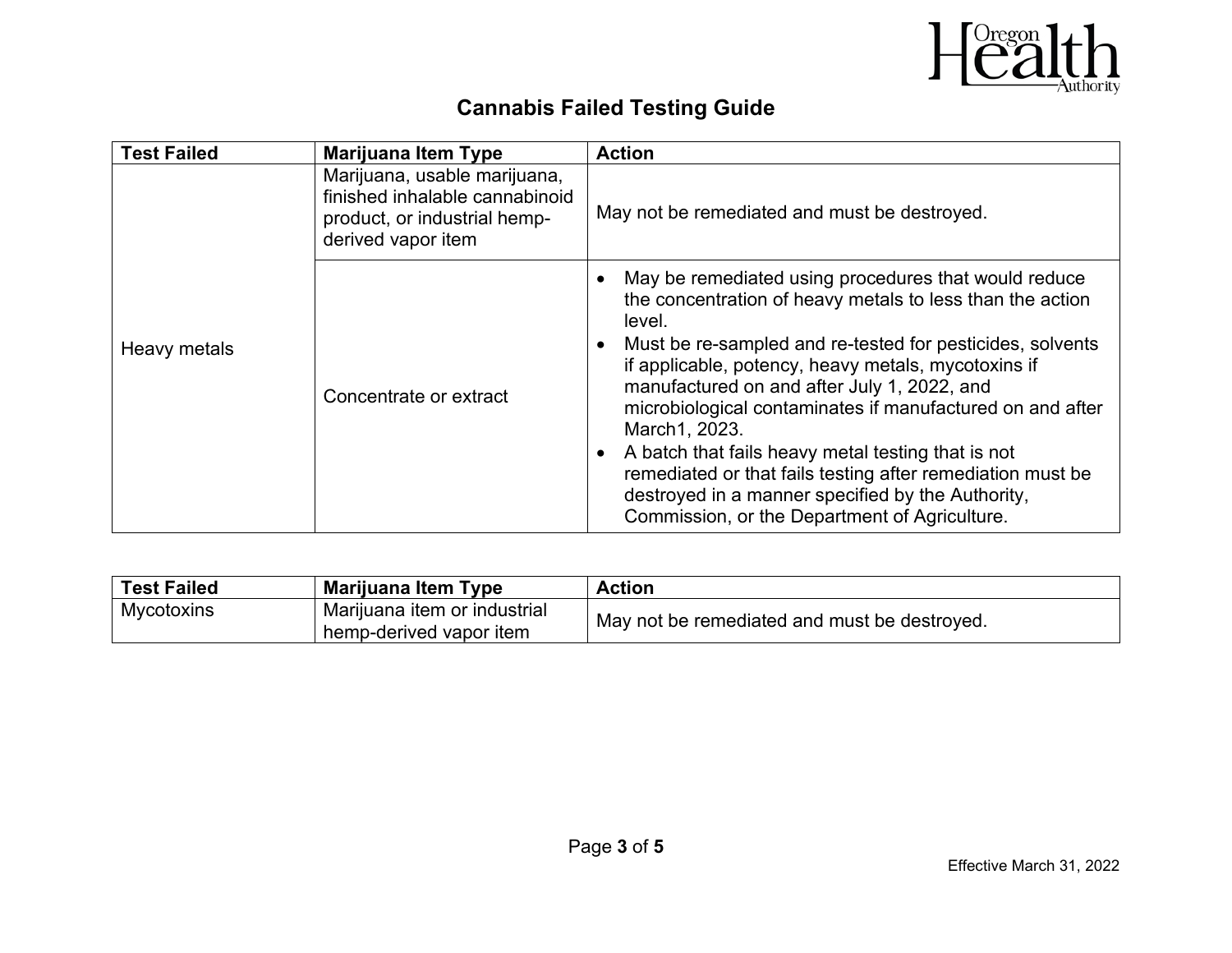

| <b>Test Failed</b> | <b>Marijuana Item Type</b>                                                                                           | <b>Action</b>                                                                                                                                                                                                                                                                                                                                                                                                                                                                                                                                                                                          |
|--------------------|----------------------------------------------------------------------------------------------------------------------|--------------------------------------------------------------------------------------------------------------------------------------------------------------------------------------------------------------------------------------------------------------------------------------------------------------------------------------------------------------------------------------------------------------------------------------------------------------------------------------------------------------------------------------------------------------------------------------------------------|
|                    | Marijuana, usable marijuana,<br>finished inhalable cannabinoid<br>product, or industrial hemp-<br>derived vapor item | May not be remediated and must be destroyed.                                                                                                                                                                                                                                                                                                                                                                                                                                                                                                                                                           |
| Heavy metals       | Concentrate or extract                                                                                               | May be remediated using procedures that would reduce<br>the concentration of heavy metals to less than the action<br>level.<br>Must be re-sampled and re-tested for pesticides, solvents<br>if applicable, potency, heavy metals, mycotoxins if<br>manufactured on and after July 1, 2022, and<br>microbiological contaminates if manufactured on and after<br>March1, 2023.<br>A batch that fails heavy metal testing that is not<br>remediated or that fails testing after remediation must be<br>destroyed in a manner specified by the Authority,<br>Commission, or the Department of Agriculture. |

| <b>Test Failed</b> | Marijuana Item Type                                     | <b>Action</b>                                |
|--------------------|---------------------------------------------------------|----------------------------------------------|
| Mycotoxins         | Marijuana item or industrial<br>hemp-derived vapor item | May not be remediated and must be destroyed. |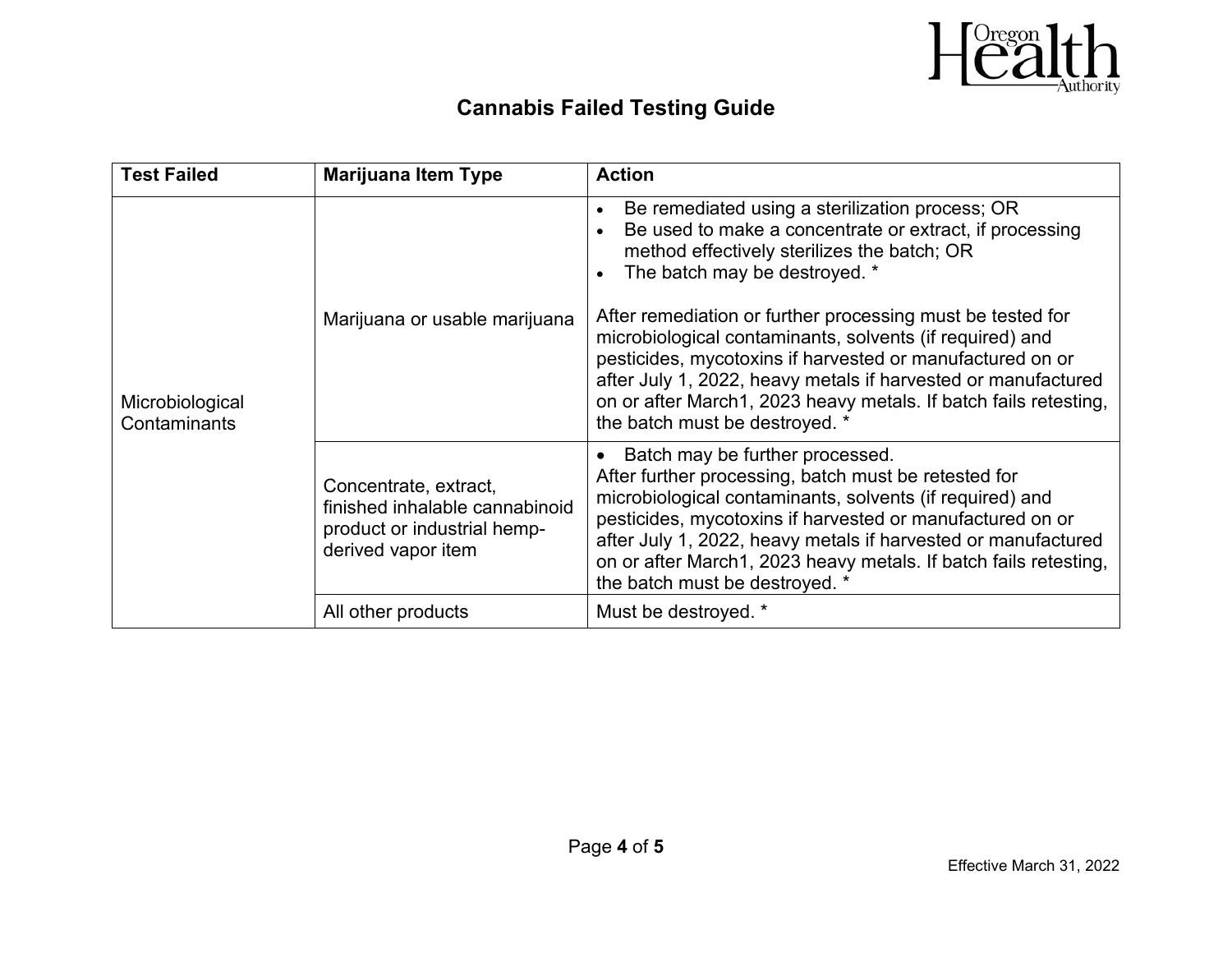

| <b>Test Failed</b>              | <b>Marijuana Item Type</b>                                                                                   | <b>Action</b>                                                                                                                                                                                                                                                                                                                                                                                                                                                                                                                                                         |
|---------------------------------|--------------------------------------------------------------------------------------------------------------|-----------------------------------------------------------------------------------------------------------------------------------------------------------------------------------------------------------------------------------------------------------------------------------------------------------------------------------------------------------------------------------------------------------------------------------------------------------------------------------------------------------------------------------------------------------------------|
| Microbiological<br>Contaminants | Marijuana or usable marijuana                                                                                | Be remediated using a sterilization process; OR<br>$\bullet$<br>Be used to make a concentrate or extract, if processing<br>method effectively sterilizes the batch; OR<br>The batch may be destroyed. *<br>After remediation or further processing must be tested for<br>microbiological contaminants, solvents (if required) and<br>pesticides, mycotoxins if harvested or manufactured on or<br>after July 1, 2022, heavy metals if harvested or manufactured<br>on or after March1, 2023 heavy metals. If batch fails retesting,<br>the batch must be destroyed. * |
|                                 | Concentrate, extract,<br>finished inhalable cannabinoid<br>product or industrial hemp-<br>derived vapor item | Batch may be further processed.<br>After further processing, batch must be retested for<br>microbiological contaminants, solvents (if required) and<br>pesticides, mycotoxins if harvested or manufactured on or<br>after July 1, 2022, heavy metals if harvested or manufactured<br>on or after March1, 2023 heavy metals. If batch fails retesting,<br>the batch must be destroyed. *                                                                                                                                                                               |
|                                 | All other products                                                                                           | Must be destroyed. *                                                                                                                                                                                                                                                                                                                                                                                                                                                                                                                                                  |